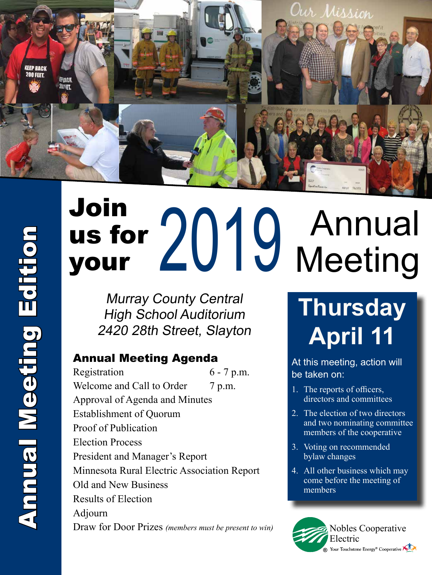

## Join us for us for 2019<br>your Annual **Meeting**

Murray County Central High School Auditorium 2420 28th Street, Slayton

#### Annual Meeting Agenda

Registration 6 - 7 p.m. Welcome and Call to Order 7 p.m. Approval of Agenda and Minutes Establishment of Quorum Proof of Publication Election Process President and Manager's Report Minnesota Rural Electric Association Report Old and New Business Results of Election Adjourn Draw for Door Prizes *(members must be present to win)* Nobles Cooperative

## **Thursday April 11**

At this meeting, action will be taken on:

- 1. The reports of officers, directors and committees
- 2. The election of two directors and two nominating committee members of the cooperative
- 3. Voting on recommended bylaw changes
- 4. All other business which may come before the meeting of members

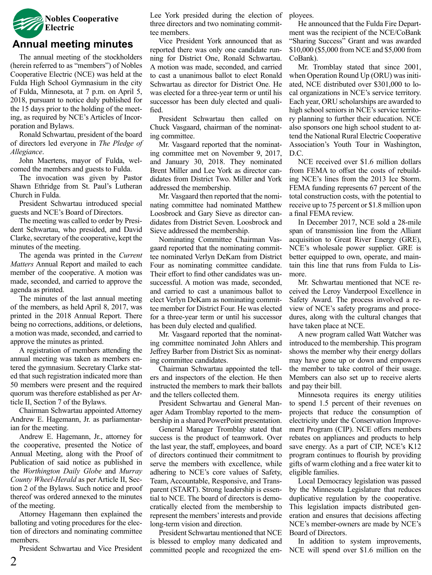

#### **Annual meeting minutes**

 The annual meeting of the stockholders (herein referred to as "members") of Nobles Cooperative Electric (NCE) was held at the Fulda High School Gymnasium in the city of Fulda, Minnesota, at 7 p.m. on April 5, 2018, pursuant to notice duly published for the 15 days prior to the holding of the meeting, as required by NCE's Articles of Incorporation and Bylaws.

 Ronald Schwartau, president of the board of directors led everyone in *The Pledge of Allegiance*.

 John Maertens, mayor of Fulda, welcomed the members and guests to Fulda.

 The invocation was given by Pastor Shawn Ethridge from St. Paul's Lutheran Church in Fulda.

 President Schwartau introduced special guests and NCE's Board of Directors.

 The meeting was called to order by President Schwartau, who presided, and David Clarke, secretary of the cooperative, kept the minutes of the meeting.

 The agenda was printed in the *Current Matters* Annual Report and mailed to each member of the cooperative. A motion was made, seconded, and carried to approve the agenda as printed.

 The minutes of the last annual meeting of the members, as held April 8, 2017, was printed in the 2018 Annual Report. There being no corrections, additions, or deletions, a motion was made, seconded, and carried to approve the minutes as printed.

 A registration of members attending the annual meeting was taken as members entered the gymnasium. Secretary Clarke stated that such registration indicated more than 50 members were present and the required quorum was therefore established as per Article II, Section 7 of the Bylaws.

 Chairman Schwartau appointed Attorney Andrew E. Hagemann, Jr. as parliamentarian for the meeting.

 Andrew E. Hagemann, Jr., attorney for the cooperative, presented the Notice of Annual Meeting, along with the Proof of Publication of said notice as published in the *Worthington Daily Globe* and *Murray County Wheel-Herald* as per Article II, Section 2 of the Bylaws. Such notice and proof thereof was ordered annexed to the minutes of the meeting.

 Attorney Hagemann then explained the balloting and voting procedures for the election of directors and nominating committee members.

 President Schwartau and Vice President

Lee York presided during the election of three directors and two nominating committee members.

 Vice President York announced that as reported there was only one candidate running for District One, Ronald Schwartau. A motion was made, seconded, and carried to cast a unanimous ballot to elect Ronald Schwartau as director for District One. He was elected for a three-year term or until his successor has been duly elected and qualified.

 President Schwartau then called on Chuck Vasgaard, chairman of the nominating committee.

 Mr. Vasgaard reported that the nominating committee met on November 9, 2017, and January 30, 2018. They nominated Brent Miller and Lee York as director candidates from District Two. Miller and York addressed the membership.

 Mr. Vasgaard then reported that the nominating committee had nominated Matthew Loosbrock and Gary Sieve as director candidates from District Seven. Loosbrock and Sieve addressed the membership.

 Nominating Committee Chairman Vasgaard reported that the nominating committee nominated Verlyn DeKam from District Four as nominating committee candidate. Their effort to find other candidates was unsuccessful. A motion was made, seconded, and carried to cast a unanimous ballot to elect Verlyn DeKam as nominating committee member for District Four. He was elected for a three-year term or until his successor has been duly elected and qualified.

 Mr. Vasgaard reported that the nominating committee nominated John Ahlers and Jeffrey Barber from District Six as nominating committee candidates.

 Chairman Schwartau appointed the tellers and inspectors of the election. He then instructed the members to mark their ballots and the tellers collected them.

 President Schwartau and General Manager Adam Tromblay reported to the membership in a shared PowerPoint presentation.

 General Manager Tromblay stated that success is the product of teamwork. Over the last year, the staff, employees, and board of directors continued their commitment to serve the members with excellence, while adhering to NCE's core values of Safety, Team, Accountable, Responsive, and Transparent (START). Strong leadership is essential to NCE. The board of directors is democratically elected from the membership to represent the members'interests and provide long-term vision and direction.

 President Schwartau mentioned that NCE is blessed to employ many dedicated and committed people and recognized the employees.

 He announced that the Fulda Fire Department was the recipient of the NCE/CoBank "Sharing Success" Grant and was awarded \$10,000 (\$5,000 from NCE and \$5,000 from CoBank).

Mr. Tromblay stated that since 2001, when Operation Round Up (ORU) was initiated, NCE distributed over \$301,000 to local organizations in NCE's service territory. Each year, ORU scholarships are awarded to high school seniors in NCE's service territory planning to further their education. NCE also sponsors one high school student to attend the National Rural Electric Cooperative Association's Youth Tour in Washington, D.C.

 NCE received over \$1.6 million dollars from FEMA to offset the costs of rebuilding NCE's lines from the 2013 Ice Storm. FEMA funding represents 67 percent of the total construction costs, with the potential to receive up to 75 percent or \$1.8 million upon a final FEMA review.

 In December 2017, NCE sold a 28-mile span of transmission line from the Alliant acquisition to Great River Energy (GRE), NCE's wholesale power supplier. GRE is better equipped to own, operate, and maintain this line that runs from Fulda to Lismore.

 Mr. Schwartau mentioned that NCE received the Leroy Vanderpool Excellence in Safety Award. The process involved a review of NCE's safety programs and procedures, along with the cultural changes that have taken place at NCE.

 A new program called Watt Watcher was introduced to the membership. This program shows the member why their energy dollars may have gone up or down and empowers the member to take control of their usage. Members can also set up to receive alerts and pay their bill.

 Minnesota requires its energy utilities to spend 1.5 percent of their revenues on projects that reduce the consumption of electricity under the Conservation Improvement Program (CIP). NCE offers members rebates on appliances and products to help save energy. As a part of CIP, NCE's K12 program continues to flourish by providing gifts of warm clothing and a free water kit to eligible families.

 Local Democracy legislation was passed by the Minnesota Legislature that reduces duplicative regulation by the cooperative. This legislation impacts distributed generation and ensures that decisions affecting NCE's member-owners are made by NCE's Board of Directors.

 In addition to system improvements, NCE will spend over \$1.6 million on the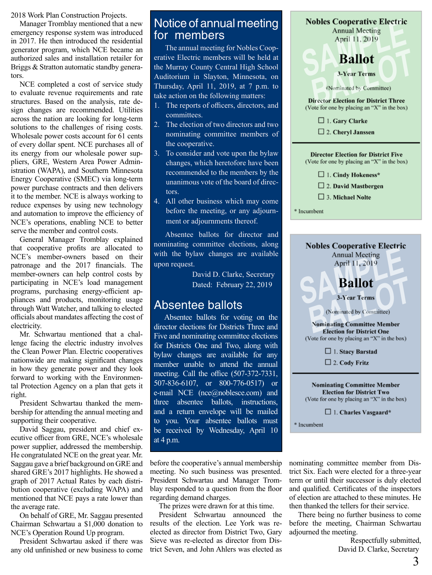2018 Work Plan Construction Projects.

 Manager Tromblay mentioned that a new emergency response system was introduced in 2017. He then introduced the residential generator program, which NCE became an authorized sales and installation retailer for Briggs & Stratton automatic standby generators.

 NCE completed a cost of service study to evaluate revenue requirements and rate structures. Based on the analysis, rate design changes are recommended. Utilities across the nation are looking for long-term solutions to the challenges of rising costs. Wholesale power costs account for 61 cents of every dollar spent. NCE purchases all of its energy from our wholesale power suppliers, GRE, Western Area Power Administration (WAPA), and Southern Minnesota Energy Cooperative (SMEC) via long-term power purchase contracts and then delivers it to the member. NCE is always working to reduce expenses by using new technology and automation to improve the efficiency of NCE's operations, enabling NCE to better serve the member and control costs.

 General Manager Tromblay explained that cooperative profits are allocated to NCE's member-owners based on their patronage and the 2017 financials. The member-owners can help control costs by participating in NCE's load management programs, purchasing energy-efficient appliances and products, monitoring usage through Watt Watcher, and talking to elected officials about mandates affecting the cost of electricity.

 Mr. Schwartau mentioned that a challenge facing the electric industry involves the Clean Power Plan. Electric cooperatives nationwide are making significant changes in how they generate power and they look forward to working with the Environmental Protection Agency on a plan that gets it right.

 President Schwartau thanked the membership for attending the annual meeting and supporting their cooperative.

 David Saggau, president and chief executive officer from GRE, NCE's wholesale power supplier, addressed the membership. He congratulated NCE on the great year. Mr. Saggau gave a brief background on GRE and shared GRE's 2017 highlights. He showed a graph of 2017 Actual Rates by each distribution cooperative (excluding WAPA) and mentioned that NCE pays a rate lower than the average rate.

 On behalf of GRE, Mr. Saggau presented Chairman Schwartau a \$1,000 donation to NCE's Operation Round Up program.

 President Schwartau asked if there was any old unfinished or new business to come

#### Notice of annual meeting for members

The annual meeting for Nobles Cooperative Electric members will be held at the Murray County Central High School Auditorium in Slayton, Minnesota, on Thursday, April 11, 2019, at 7 p.m. to take action on the following matters:

- 1. The reports of officers, directors, and committees.
- 2. The election of two directors and two nominating committee members of the cooperative.
- 3. To consider and vote upon the bylaw changes, which heretofore have been recommended to the members by the unanimous vote of the board of directors.
- 4. All other business which may come before the meeting, or any adjournment or adjournments thereof.

Absentee ballots for director and nominating committee elections, along with the bylaw changes are available upon request.

> David D. Clarke, Secretary Dated: February 22, 2019

#### Absentee ballots

Absentee ballots for voting on the director elections for Districts Three and Five and nominating committee elections for Districts One and Two, along with bylaw changes are available for any member unable to attend the annual meeting. Call the office (507-372-7331, 507-836-6107, or 800-776-0517) or e-mail NCE (nce@noblesce.com) and three absentee ballots, instructions, and a return envelope will be mailed to you. Your absentee ballots must be received by Wednesday, April 10 at 4 p.m.

before the cooperative's annual membership meeting. No such business was presented. President Schwartau and Manager Tromblay responded to a question from the floor regarding demand charges.

 The prizes were drawn for at this time.

 President Schwartau announced the results of the election. Lee York was reelected as director from District Two, Gary Sieve was re-elected as director from District Seven, and John Ahlers was elected as

| <b>Nobles Cooperative Electric</b>          |
|---------------------------------------------|
| <b>Annual Meeting</b>                       |
| April 11, 2019                              |
|                                             |
|                                             |
| <b>Ballot</b>                               |
|                                             |
| <b>3-Year Terms</b>                         |
|                                             |
|                                             |
| (Nominated by Committee)                    |
|                                             |
| <b>Director Election for District Three</b> |
| (Vote for one by placing an "X" in the box) |
|                                             |
| $\Box$ 1. Gary Clarke                       |
| $\Box$ 2. Cheryl Janssen                    |
|                                             |

| <b>Director Election for District Five</b><br>(Vote for one by placing an "X" in the box)<br>$\Box$ 1. Cindy Hokeness*<br>$\Box$ 2. David Mastbergen<br>$\Box$ 3. Michael Nolte<br>Incumbent                                                                                                                                  |
|-------------------------------------------------------------------------------------------------------------------------------------------------------------------------------------------------------------------------------------------------------------------------------------------------------------------------------|
|                                                                                                                                                                                                                                                                                                                               |
| <b>Nobles Cooperative Electric</b><br><b>Annual Meeting</b><br>April 11, 2019<br><b>Ballot</b><br><b>3-Year Terms</b><br>(Nominated by Committee)<br><b>Nominating Committee Member</b><br><b>Election for District One</b><br>(Vote for one by placing an "X" in the box)<br>$\Box$ 1. Stacy Barstad<br>$\Box$ 2. Cody Fritz |
| <b>Nominating Committee Member</b><br><b>Election for District Two</b><br>(Vote for one by placing an "X" in the box)                                                                                                                                                                                                         |

 $\Box$  1. Charles Vasgaard\*

\* Incumbent

nominating committee member from District Six. Each were elected for a three-year term or until their successor is duly elected and qualified. Certificates of the inspectors of election are attached to these minutes. He then thanked the tellers for their service.

 There being no further business to come before the meeting, Chairman Schwartau adjourned the meeting.

> Respectfully submitted, David D. Clarke, Secretary